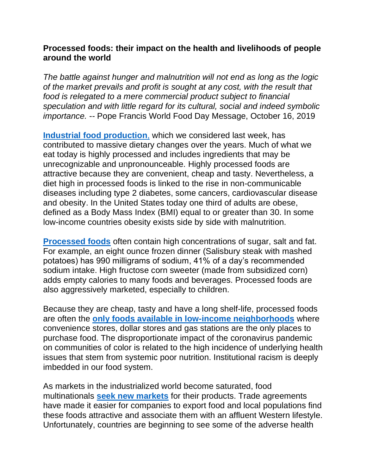## **Processed foods: their impact on the health and livelihoods of people around the world**

*The battle against hunger and malnutrition will not end as long as the logic of the market prevails and profit is sought at any cost, with the result that food is relegated to a mere commercial product subject to financial speculation and with little regard for its cultural, social and indeed symbolic importance. --* Pope Francis World Food Day Message, October 16, 2019

**[Industrial food production](https://www.nrdc.org/stories/industrial-agriculture-101)**, which we considered last week, has contributed to massive dietary changes over the years. Much of what we eat today is highly processed and includes ingredients that may be unrecognizable and unpronounceable. Highly processed foods are attractive because they are convenient, cheap and tasty. Nevertheless, a diet high in processed foods is linked to the rise in non-communicable diseases including type 2 diabetes, some cancers, cardiovascular disease and obesity. In the United States today one third of adults are obese, defined as a Body Mass Index (BMI) equal to or greater than 30. In some low-income countries obesity exists side by side with malnutrition.

**[Processed foods](https://foodispower.org/access-health/fast-food/)** often contain high concentrations of sugar, salt and fat. For example, an eight ounce frozen dinner (Salisbury steak with mashed potatoes) has 990 milligrams of sodium, 41% of a day's recommended sodium intake. High fructose corn sweeter (made from subsidized corn) adds empty calories to many foods and beverages. Processed foods are also aggressively marketed, especially to children.

Because they are cheap, tasty and have a long shelf-life, processed foods are often the **[only foods available in low-income neighborhoods](https://www.ucsusa.org/sites/default/files/attach/2016/04/ucs-race-income-diabetes-2016.pdf)** where convenience stores, dollar stores and gas stations are the only places to purchase food. The disproportionate impact of the coronavirus pandemic on communities of color is related to the high incidence of underlying health issues that stem from systemic poor nutrition. Institutional racism is deeply imbedded in our food system.

As markets in the industrialized world become saturated, food multinationals **[seek new markets](http://www.buffalo.edu/ubnow/stories/2019/11/werner-trade-diet.html)** for their products. Trade agreements have made it easier for companies to export food and local populations find these foods attractive and associate them with an affluent Western lifestyle. Unfortunately, countries are beginning to see some of the adverse health